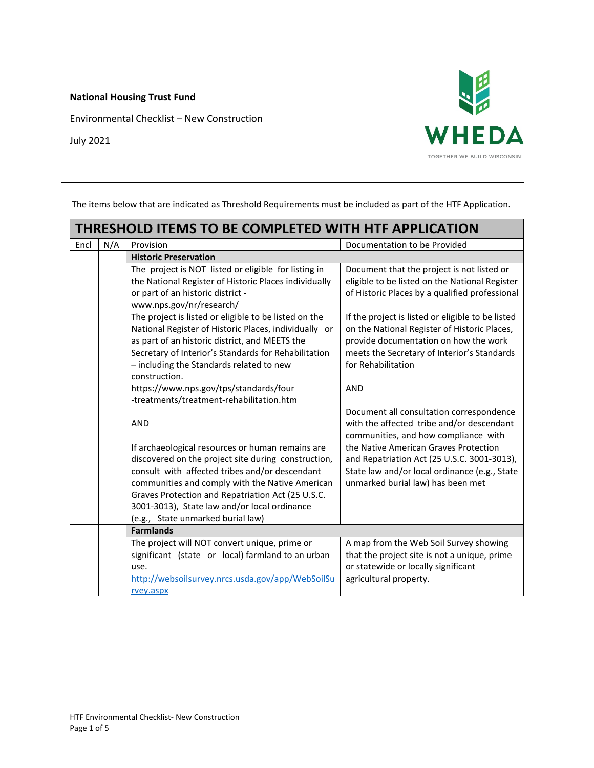**National Housing Trust Fund**

Environmental Checklist – New Construction



July 2021

The items below that are indicated as Threshold Requirements must be included as part of the HTF Application.

| THRESHOLD ITEMS TO BE COMPLETED WITH HTF APPLICATION |                                                                                                                                                                                                                                                                                                                                                        |                                                                                                                                                                                                                 |  |
|------------------------------------------------------|--------------------------------------------------------------------------------------------------------------------------------------------------------------------------------------------------------------------------------------------------------------------------------------------------------------------------------------------------------|-----------------------------------------------------------------------------------------------------------------------------------------------------------------------------------------------------------------|--|
| N/A                                                  | Provision                                                                                                                                                                                                                                                                                                                                              | Documentation to be Provided                                                                                                                                                                                    |  |
|                                                      | <b>Historic Preservation</b>                                                                                                                                                                                                                                                                                                                           |                                                                                                                                                                                                                 |  |
|                                                      | The project is NOT listed or eligible for listing in<br>the National Register of Historic Places individually<br>or part of an historic district -<br>www.nps.gov/nr/research/                                                                                                                                                                         | Document that the project is not listed or<br>eligible to be listed on the National Register<br>of Historic Places by a qualified professional                                                                  |  |
|                                                      | The project is listed or eligible to be listed on the<br>National Register of Historic Places, individually or<br>as part of an historic district, and MEETS the<br>Secretary of Interior's Standards for Rehabilitation<br>- including the Standards related to new<br>construction.                                                                  | If the project is listed or eligible to be listed<br>on the National Register of Historic Places,<br>provide documentation on how the work<br>meets the Secretary of Interior's Standards<br>for Rehabilitation |  |
|                                                      | https://www.nps.gov/tps/standards/four<br>-treatments/treatment-rehabilitation.htm                                                                                                                                                                                                                                                                     | <b>AND</b>                                                                                                                                                                                                      |  |
|                                                      | <b>AND</b>                                                                                                                                                                                                                                                                                                                                             | Document all consultation correspondence<br>with the affected tribe and/or descendant<br>communities, and how compliance with                                                                                   |  |
|                                                      | If archaeological resources or human remains are<br>discovered on the project site during construction,<br>consult with affected tribes and/or descendant<br>communities and comply with the Native American<br>Graves Protection and Repatriation Act (25 U.S.C.<br>3001-3013), State law and/or local ordinance<br>(e.g., State unmarked burial law) | the Native American Graves Protection<br>and Repatriation Act (25 U.S.C. 3001-3013),<br>State law and/or local ordinance (e.g., State<br>unmarked burial law) has been met                                      |  |
|                                                      |                                                                                                                                                                                                                                                                                                                                                        |                                                                                                                                                                                                                 |  |
|                                                      | The project will NOT convert unique, prime or<br>significant (state or local) farmland to an urban<br>use.<br>http://websoilsurvey.nrcs.usda.gov/app/WebSoilSu                                                                                                                                                                                         | A map from the Web Soil Survey showing<br>that the project site is not a unique, prime<br>or statewide or locally significant<br>agricultural property.                                                         |  |
|                                                      |                                                                                                                                                                                                                                                                                                                                                        | <b>Farmlands</b><br>rvey.aspx                                                                                                                                                                                   |  |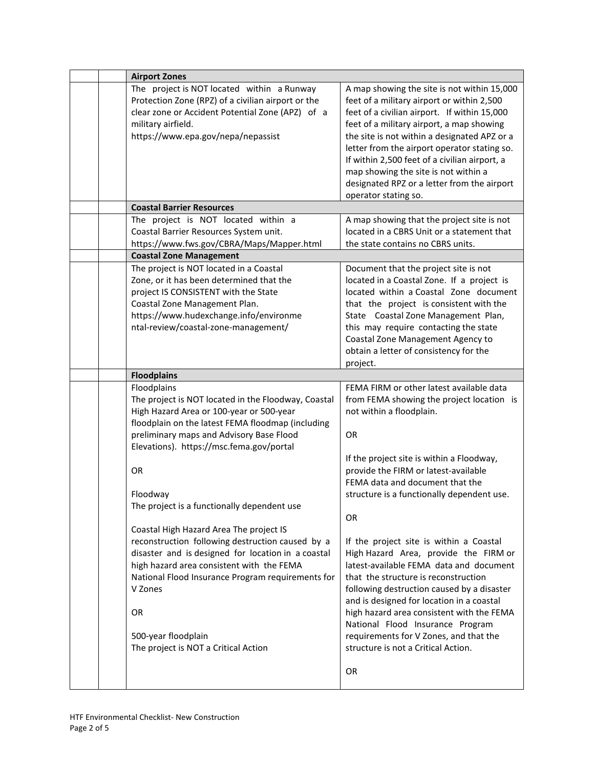| <b>Airport Zones</b>                                                                                                                                                                                                                                                                                                                                                               |                                                                                                                                                                                                                                                                                                                                                                                                                                                     |
|------------------------------------------------------------------------------------------------------------------------------------------------------------------------------------------------------------------------------------------------------------------------------------------------------------------------------------------------------------------------------------|-----------------------------------------------------------------------------------------------------------------------------------------------------------------------------------------------------------------------------------------------------------------------------------------------------------------------------------------------------------------------------------------------------------------------------------------------------|
| The project is NOT located within a Runway<br>Protection Zone (RPZ) of a civilian airport or the<br>clear zone or Accident Potential Zone (APZ) of a<br>military airfield.<br>https://www.epa.gov/nepa/nepassist                                                                                                                                                                   | A map showing the site is not within 15,000<br>feet of a military airport or within 2,500<br>feet of a civilian airport. If within 15,000<br>feet of a military airport, a map showing<br>the site is not within a designated APZ or a<br>letter from the airport operator stating so.<br>If within 2,500 feet of a civilian airport, a                                                                                                             |
|                                                                                                                                                                                                                                                                                                                                                                                    | map showing the site is not within a<br>designated RPZ or a letter from the airport<br>operator stating so.                                                                                                                                                                                                                                                                                                                                         |
| <b>Coastal Barrier Resources</b>                                                                                                                                                                                                                                                                                                                                                   |                                                                                                                                                                                                                                                                                                                                                                                                                                                     |
| The project is NOT located within a<br>Coastal Barrier Resources System unit.<br>https://www.fws.gov/CBRA/Maps/Mapper.html<br><b>Coastal Zone Management</b>                                                                                                                                                                                                                       | A map showing that the project site is not<br>located in a CBRS Unit or a statement that<br>the state contains no CBRS units.                                                                                                                                                                                                                                                                                                                       |
|                                                                                                                                                                                                                                                                                                                                                                                    |                                                                                                                                                                                                                                                                                                                                                                                                                                                     |
| The project is NOT located in a Coastal<br>Zone, or it has been determined that the<br>project IS CONSISTENT with the State<br>Coastal Zone Management Plan.<br>https://www.hudexchange.info/environme<br>ntal-review/coastal-zone-management/                                                                                                                                     | Document that the project site is not<br>located in a Coastal Zone. If a project is<br>located within a Coastal Zone document<br>that the project is consistent with the<br>State Coastal Zone Management Plan,<br>this may require contacting the state<br>Coastal Zone Management Agency to<br>obtain a letter of consistency for the<br>project.                                                                                                 |
| <b>Floodplains</b>                                                                                                                                                                                                                                                                                                                                                                 |                                                                                                                                                                                                                                                                                                                                                                                                                                                     |
| Floodplains<br>The project is NOT located in the Floodway, Coastal<br>High Hazard Area or 100-year or 500-year<br>floodplain on the latest FEMA floodmap (including<br>preliminary maps and Advisory Base Flood<br>Elevations). https://msc.fema.gov/portal                                                                                                                        | FEMA FIRM or other latest available data<br>from FEMA showing the project location is<br>not within a floodplain.<br>OR                                                                                                                                                                                                                                                                                                                             |
| <b>OR</b><br>Floodway                                                                                                                                                                                                                                                                                                                                                              | If the project site is within a Floodway,<br>provide the FIRM or latest-available<br>FEMA data and document that the<br>structure is a functionally dependent use.                                                                                                                                                                                                                                                                                  |
| The project is a functionally dependent use<br>Coastal High Hazard Area The project IS<br>reconstruction following destruction caused by a<br>disaster and is designed for location in a coastal<br>high hazard area consistent with the FEMA<br>National Flood Insurance Program requirements for<br>V Zones<br>0R<br>500-year floodplain<br>The project is NOT a Critical Action | <b>OR</b><br>If the project site is within a Coastal<br>High Hazard Area, provide the FIRM or<br>latest-available FEMA data and document<br>that the structure is reconstruction<br>following destruction caused by a disaster<br>and is designed for location in a coastal<br>high hazard area consistent with the FEMA<br>National Flood Insurance Program<br>requirements for V Zones, and that the<br>structure is not a Critical Action.<br>OR |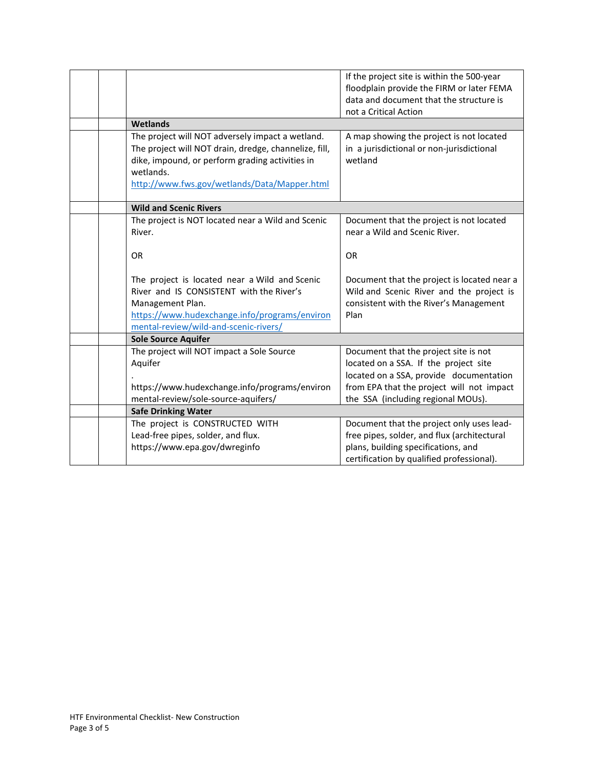|  |                                                                                                                                                                                                                           | If the project site is within the 500-year<br>floodplain provide the FIRM or later FEMA                                                   |
|--|---------------------------------------------------------------------------------------------------------------------------------------------------------------------------------------------------------------------------|-------------------------------------------------------------------------------------------------------------------------------------------|
|  |                                                                                                                                                                                                                           | data and document that the structure is<br>not a Critical Action                                                                          |
|  | <b>Wetlands</b>                                                                                                                                                                                                           |                                                                                                                                           |
|  | The project will NOT adversely impact a wetland.<br>The project will NOT drain, dredge, channelize, fill,<br>dike, impound, or perform grading activities in<br>wetlands.<br>http://www.fws.gov/wetlands/Data/Mapper.html | A map showing the project is not located<br>in a jurisdictional or non-jurisdictional<br>wetland                                          |
|  | <b>Wild and Scenic Rivers</b>                                                                                                                                                                                             |                                                                                                                                           |
|  | The project is NOT located near a Wild and Scenic<br>River.                                                                                                                                                               | Document that the project is not located<br>near a Wild and Scenic River.                                                                 |
|  | <b>OR</b>                                                                                                                                                                                                                 | <b>OR</b>                                                                                                                                 |
|  | The project is located near a Wild and Scenic<br>River and IS CONSISTENT with the River's<br>Management Plan.<br>https://www.hudexchange.info/programs/environ<br>mental-review/wild-and-scenic-rivers/                   | Document that the project is located near a<br>Wild and Scenic River and the project is<br>consistent with the River's Management<br>Plan |
|  | <b>Sole Source Aquifer</b>                                                                                                                                                                                                |                                                                                                                                           |
|  | The project will NOT impact a Sole Source<br>Aquifer                                                                                                                                                                      | Document that the project site is not<br>located on a SSA. If the project site<br>located on a SSA, provide documentation                 |
|  | https://www.hudexchange.info/programs/environ<br>mental-review/sole-source-aquifers/                                                                                                                                      | from EPA that the project will not impact<br>the SSA (including regional MOUs).                                                           |
|  | <b>Safe Drinking Water</b>                                                                                                                                                                                                |                                                                                                                                           |
|  | The project is CONSTRUCTED WITH                                                                                                                                                                                           | Document that the project only uses lead-                                                                                                 |
|  | Lead-free pipes, solder, and flux.                                                                                                                                                                                        | free pipes, solder, and flux (architectural                                                                                               |
|  | https://www.epa.gov/dwreginfo                                                                                                                                                                                             | plans, building specifications, and                                                                                                       |
|  |                                                                                                                                                                                                                           | certification by qualified professional).                                                                                                 |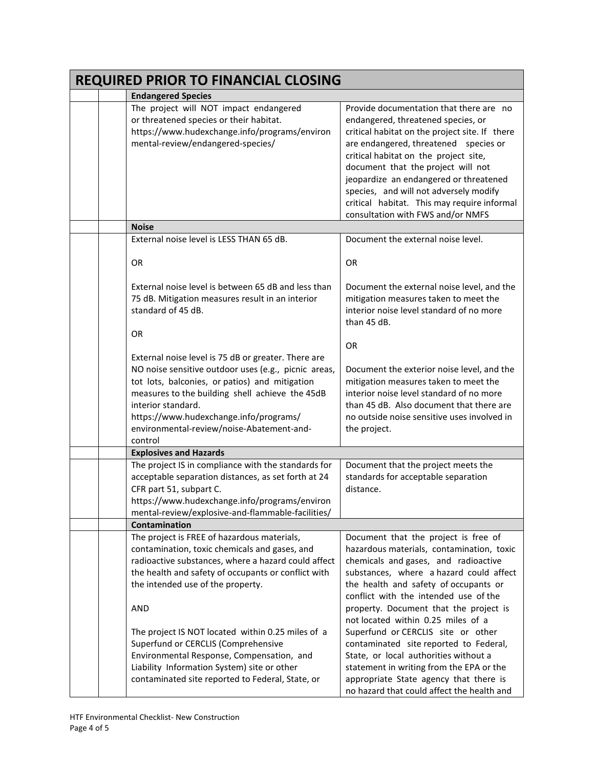| <b>REQUIRED PRIOR TO FINANCIAL CLOSING</b> |                                                                                                                                                                                                                                                                                                                                          |                                                                                                                                                                                                                                                                                                                                                                                                                                 |  |
|--------------------------------------------|------------------------------------------------------------------------------------------------------------------------------------------------------------------------------------------------------------------------------------------------------------------------------------------------------------------------------------------|---------------------------------------------------------------------------------------------------------------------------------------------------------------------------------------------------------------------------------------------------------------------------------------------------------------------------------------------------------------------------------------------------------------------------------|--|
|                                            | <b>Endangered Species</b>                                                                                                                                                                                                                                                                                                                |                                                                                                                                                                                                                                                                                                                                                                                                                                 |  |
|                                            | The project will NOT impact endangered<br>or threatened species or their habitat.<br>https://www.hudexchange.info/programs/environ<br>mental-review/endangered-species/                                                                                                                                                                  | Provide documentation that there are no<br>endangered, threatened species, or<br>critical habitat on the project site. If there<br>are endangered, threatened species or<br>critical habitat on the project site,<br>document that the project will not<br>jeopardize an endangered or threatened<br>species, and will not adversely modify<br>critical habitat. This may require informal<br>consultation with FWS and/or NMFS |  |
|                                            | <b>Noise</b>                                                                                                                                                                                                                                                                                                                             |                                                                                                                                                                                                                                                                                                                                                                                                                                 |  |
|                                            | External noise level is LESS THAN 65 dB.                                                                                                                                                                                                                                                                                                 | Document the external noise level.                                                                                                                                                                                                                                                                                                                                                                                              |  |
|                                            | <b>OR</b>                                                                                                                                                                                                                                                                                                                                | <b>OR</b>                                                                                                                                                                                                                                                                                                                                                                                                                       |  |
|                                            | External noise level is between 65 dB and less than<br>75 dB. Mitigation measures result in an interior<br>standard of 45 dB.<br><b>OR</b>                                                                                                                                                                                               | Document the external noise level, and the<br>mitigation measures taken to meet the<br>interior noise level standard of no more<br>than 45 dB.                                                                                                                                                                                                                                                                                  |  |
|                                            |                                                                                                                                                                                                                                                                                                                                          | <b>OR</b>                                                                                                                                                                                                                                                                                                                                                                                                                       |  |
|                                            | External noise level is 75 dB or greater. There are<br>NO noise sensitive outdoor uses (e.g., picnic areas,<br>tot lots, balconies, or patios) and mitigation<br>measures to the building shell achieve the 45dB<br>interior standard.<br>https://www.hudexchange.info/programs/<br>environmental-review/noise-Abatement-and-<br>control | Document the exterior noise level, and the<br>mitigation measures taken to meet the<br>interior noise level standard of no more<br>than 45 dB. Also document that there are<br>no outside noise sensitive uses involved in<br>the project.                                                                                                                                                                                      |  |
|                                            | <b>Explosives and Hazards</b>                                                                                                                                                                                                                                                                                                            |                                                                                                                                                                                                                                                                                                                                                                                                                                 |  |
|                                            | The project IS in compliance with the standards for<br>acceptable separation distances, as set forth at 24<br>CFR part 51, subpart C.<br>https://www.hudexchange.info/programs/environ<br>mental-review/explosive-and-flammable-facilities/                                                                                              | Document that the project meets the<br>standards for acceptable separation<br>distance.                                                                                                                                                                                                                                                                                                                                         |  |
|                                            | Contamination                                                                                                                                                                                                                                                                                                                            |                                                                                                                                                                                                                                                                                                                                                                                                                                 |  |
|                                            | The project is FREE of hazardous materials,<br>contamination, toxic chemicals and gases, and<br>radioactive substances, where a hazard could affect<br>the health and safety of occupants or conflict with<br>the intended use of the property.<br>AND                                                                                   | Document that the project is free of<br>hazardous materials, contamination, toxic<br>chemicals and gases, and radioactive<br>substances, where a hazard could affect<br>the health and safety of occupants or<br>conflict with the intended use of the<br>property. Document that the project is                                                                                                                                |  |
|                                            | The project IS NOT located within 0.25 miles of a<br>Superfund or CERCLIS (Comprehensive<br>Environmental Response, Compensation, and<br>Liability Information System) site or other<br>contaminated site reported to Federal, State, or                                                                                                 | not located within 0.25 miles of a<br>Superfund or CERCLIS site or other<br>contaminated site reported to Federal,<br>State, or local authorities without a<br>statement in writing from the EPA or the<br>appropriate State agency that there is<br>no hazard that could affect the health and                                                                                                                                 |  |